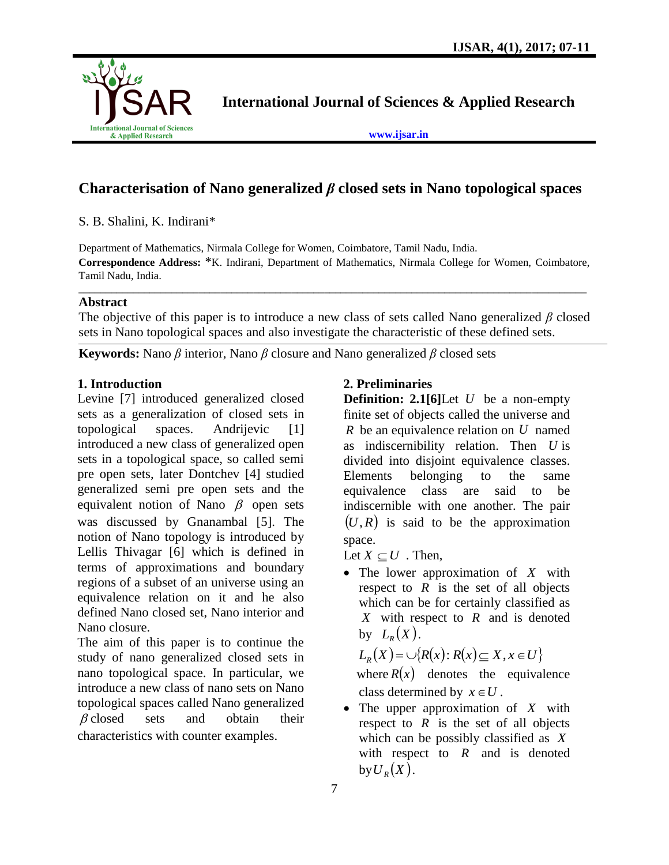

**International Journal of Sciences & Applied Research**

**[www.ijsar.in](http://www.ijsar.in/)**

# **Characterisation of Nano generalized** *β* **closed sets in Nano topological spaces**

S. B. Shalini, K. Indirani\*

Department of Mathematics, Nirmala College for Women, Coimbatore, Tamil Nadu, India. **Correspondence Address:** \*K. Indirani, Department of Mathematics, Nirmala College for Women, Coimbatore, Tamil Nadu, India.

\_\_\_\_\_\_\_\_\_\_\_\_\_\_\_\_\_\_\_\_\_\_\_\_\_\_\_\_\_\_\_\_\_\_\_\_\_\_\_\_\_\_\_\_\_\_\_\_\_\_\_\_\_\_\_\_\_\_\_\_\_\_\_\_\_\_\_\_\_\_\_\_\_\_\_\_\_\_\_\_\_\_\_\_\_\_\_\_\_\_\_\_\_

### **Abstract**

The objective of this paper is to introduce a new class of sets called Nano generalized *β* closed sets in Nano topological spaces and also investigate the characteristic of these defined sets.

**Keywords:** Nano *β* interior, Nano *β* closure and Nano generalized *β* closed sets

### **1. Introduction**

Levine [7] introduced generalized closed sets as a generalization of closed sets in topological spaces. Andrijevic [1] introduced a new class of generalized open sets in a topological space, so called semi pre open sets, later Dontchev [4] studied generalized semi pre open sets and the equivalent notion of Nano  $\beta$  open sets was discussed by Gnanambal [5]. The notion of Nano topology is introduced by Lellis Thivagar [6] which is defined in terms of approximations and boundary regions of a subset of an universe using an equivalence relation on it and he also defined Nano closed set, Nano interior and Nano closure.

The aim of this paper is to continue the study of nano generalized closed sets in nano topological space. In particular, we introduce a new class of nano sets on Nano topological spaces called Nano generalized  $\beta$  closed sets and obtain their characteristics with counter examples.

## **2. Preliminaries**

**Definition: 2.1[6]**Let *U* be a non-empty finite set of objects called the universe and *R* be an equivalence relation on *U* named as indiscernibility relation. Then *U* is divided into disjoint equivalence classes. Elements belonging to the same equivalence class are said to be indiscernible with one another. The pair  $(U, R)$  is said to be the approximation space.

Let  $X \subseteq U$ . Then,

• The lower approximation of X with respect to  $R$  is the set of all objects which can be for certainly classified as *X* with respect to *R* and is denoted by  $L_R(X)$ .

 $L_R(X) = \cup \{R(x): R(x) \subseteq X, x \in U\}$ where  $R(x)$  denotes the equivalence class determined by  $x \in U$ .

• The upper approximation of X with respect to  $R$  is the set of all objects which can be possibly classified as *X* with respect to  $R$  and is denoted by  $\mathcal{U}_R(X)$ .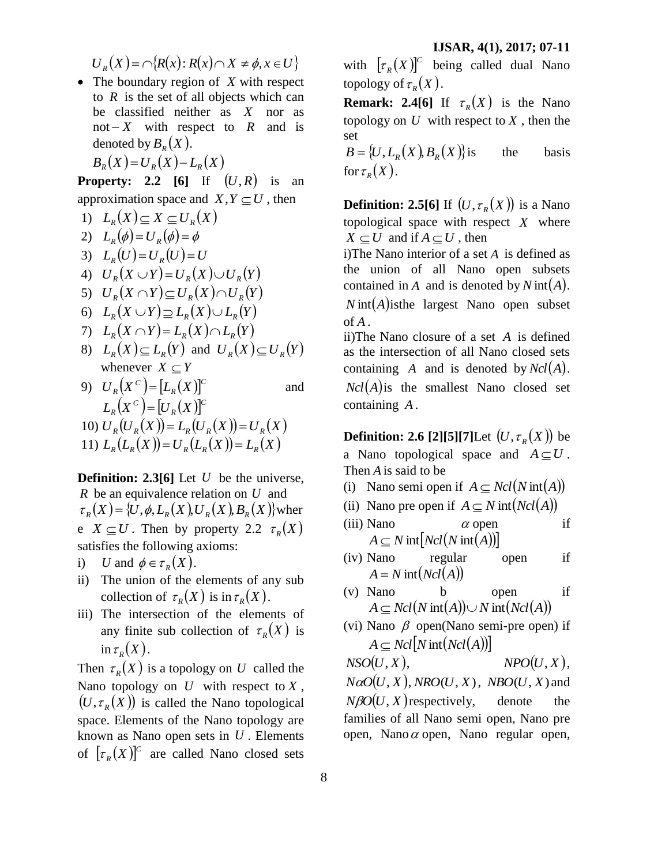$$
U_R(X) = \bigcap \{ R(x) : R(x) \cap X \neq \phi, x \in U \}
$$

• The boundary region of *X* with respect to  $R$  is the set of all objects which can be classified neither as *X* nor as not  $-X$  with respect to  $R$  and is denoted by  $B_R(X)$ .

$$
B_R(X) = U_R(X) - L_R(X)
$$

**Property: 2.2** [6] If  $(U,R)$  is an approximation space and  $X, Y \subseteq U$ , then

- 1)  $L_R(X) \subseteq X \subseteq U_R(X)$
- 2)  $L_R(\phi) = U_R(\phi) = \phi$
- 3)  $L_R(U) = U_R(U) = U_R(U)$
- 4)  $U_R(X \cup Y) = U_R(X) \cup U_R(Y)$
- 5)  $U_R(X \cap Y) \subseteq U_R(X) \cap U_R(Y)$
- 6)  $L_R(X \cup Y) \supseteq L_R(X) \cup L_R(Y)$
- 7)  $L_R(X \cap Y) = L_R(X) \cap L_R(Y)$
- 8)  $L_R(X) \subseteq L_R(Y)$  and  $U_R(X) \subseteq U_R(Y)$ whenever  $X \subseteq Y$
- 9)  $U_R(X^c) = [L_R(X)]^c$  $U_R(X^c) = [L_R(X$ and  $(X^C) = [U_R(X)]^C$ *R*  $L_R(X^C) = [U_R(X$

10) 
$$
U_R(U_R(X)) = L_R(U_R(X)) = U_R(X)
$$
  
11)  $L_R(L_R(X)) = U_R(L_R(X)) = L_R(X)$ 

**Definition: 2.3[6]** Let U be the universe, *R* be an equivalence relation on *U* and  $\tau_R(X) = \{U, \phi, L_R(X), U_R(X), B_R(X)\}$  wher e  $X \subseteq U$ . Then by property 2.2  $\tau_R(X)$ satisfies the following axioms:

- i) *U* and  $\phi \in \tau_R(X)$ .
- ii) The union of the elements of any sub collection of  $\tau_R(X)$  is in  $\tau_R(X)$ .
- iii) The intersection of the elements of any finite sub collection of  $\tau_R(X)$  is in  $\tau_R(X)$ .

Then  $\tau_R(X)$  is a topology on U called the Nano topology on  $U$  with respect to  $X$ ,  $(U, \tau_R(X))$  is called the Nano topological space. Elements of the Nano topology are known as Nano open sets in *U* . Elements of  $[\tau_R(X)]^c$  are called Nano closed sets with  $[\tau_R(X)]^c$  being called dual Nano topology of  $\tau_R(X)$ .

**Remark: 2.4[6]** If  $\tau_R(X)$  is the Nano topology on  $U$  with respect to  $X$ , then the set

 $B = \{U, L_R(X), B_R(X)\}$ i the basis for  $\tau_R(X)$ .

**Definition: 2.5[6]** If  $(U, \tau_R(X))$  is a Nano topological space with respect *X* where  $X \subseteq U$  and if  $A \subseteq U$ , then

i)The Nano interior of a set *A* is defined as the union of all Nano open subsets contained in A and is denoted by  $N$  int $(A)$ . *N* int(*A*) is the largest Nano open subset of *A* .

ii)The Nano closure of a set *A* is defined as the intersection of all Nano closed sets containing *A* and is denoted by *NclA*.  $Ncl(A)$  is the smallest Nano closed set containing *A* .

**Definition: 2.6 [2][5][7]**Let  $(U, \tau_R(X))$  be a Nano topological space and  $A \subseteq U$ . Then *A* is said to be

- (i) Nano semi open if  $A \subseteq Ncl(Nint(A))$
- (ii) Nano pre open if  $A \subseteq N$  int $(Ncl(A))$
- (iii) Nano  $\alpha$  open if  $A \subseteq N$  int $[Net(Nint(A))]$
- (iv) Nano regular open if  $A = N \text{int}(Ncl(A))$
- (v) Nano b open if  $A \subseteq$  *Ncl*(*N* int(*A*)) $\cup$  *N* int(*Ncl*(*A*))
- (vi) Nano  $\beta$  open(Nano semi-pre open) if  $A \subseteq$  *Ncl*<sup>*N*</sup> int $(Ncl(A))$ <sup>1</sup>

 $NSO(U, X),$   $NPO(U, X),$  $N\alpha$ *O* $(U, X)$ , *NRO* $(U, X)$ , *NBO* $(U, X)$  and  $N\beta O(U, X)$  respectively, denote the families of all Nano semi open, Nano pre open, Nano  $\alpha$  open, Nano regular open,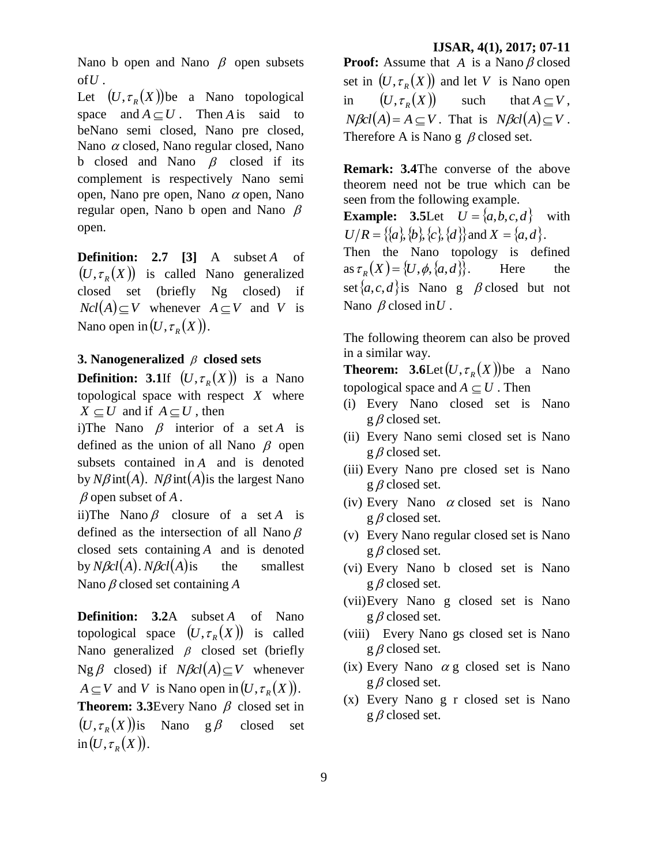Nano b open and Nano  $\beta$  open subsets  $of U$  .

Let  $(U, \tau_R(X))$ be a Nano topological space and  $A \subseteq U$ . Then *A* is said to beNano semi closed, Nano pre closed, Nano  $\alpha$  closed, Nano regular closed, Nano b closed and Nano  $\beta$  closed if its complement is respectively Nano semi open, Nano pre open, Nano  $\alpha$  open, Nano regular open, Nano b open and Nano  $\beta$ open.

**Definition: 2.7 [3]** A subset *A* of  $(U, \tau_R(X))$  is called Nano generalized closed set (briefly Ng closed) if  $Ncl(A) \subseteq V$  whenever  $A \subseteq V$  and V is Nano open in  $(U, \tau_R(X))$ .

#### **3.** Nanogeneralized  $\beta$  closed sets

**Definition:** 3.1If  $(U, \tau_R(X))$  is a Nano topological space with respect *X* where  $X \subseteq U$  and if  $A \subseteq U$ , then

i)The Nano  $\beta$  interior of a set A is defined as the union of all Nano  $\beta$  open subsets contained in *A* and is denoted by  $N\beta$  int(*A*).  $N\beta$  int(*A*) is the largest Nano  $\beta$  open subset of  $A$ .

ii)The Nano  $\beta$  closure of a set A is defined as the intersection of all Nano  $\beta$ closed sets containing *A* and is denoted by *NclA*. *NclA* the smallest Nano  $\beta$  closed set containing  $A$ 

**Definition: 3.2**A subset *A* of Nano topological space  $(U, \tau_R(X))$  is called Nano generalized  $\beta$  closed set (briefly  $Ng \beta$  closed) if  $N\beta cl(A) \subseteq V$  whenever  $A \subseteq V$  and *V* is Nano open in  $(U, \tau_R(X))$ . **Theorem: 3.3** Every Nano  $\beta$  closed set in

 $(U, \tau_R(X))$  is Nano g  $\beta$  closed set  $\text{in}(U,\tau_{R}(X)).$ 

#### **IJSAR, 4(1), 2017; 07-11**

**Proof:** Assume that A is a Nano  $\beta$  closed set in  $(U, \tau_R(X))$  and let V is Nano open in  $(U, \tau_R(X))$ such that  $A \subset V$ ,  $N\beta cl(A) = A \subseteq V$ . That is  $N\beta cl(A) \subseteq V$ . Therefore A is Nano  $g \beta$  closed set.

**Remark: 3.4**The converse of the above theorem need not be true which can be seen from the following example.

**Example:** 3.5Let  $U = \{a,b,c,d\}$  with  $U/R = \{\{a\}, \{b\}, \{c\}, \{d\}\}\$ and  $X = \{a, d\}.$ 

Then the Nano topology is defined  $\{a s \tau_R(X) = \{U, \phi, \{a, d\}\}.$ Here set  $\{a, c, d\}$  is Nano g  $\beta$  closed but not Nano  $\beta$  closed in *U*.

The following theorem can also be proved in a similar way.

**Theorem:** 3.6Let  $(U, \tau_R(X))$  be a Nano topological space and  $A \subseteq U$ . Then

- (i) Every Nano closed set is Nano  $g \beta$  closed set.
- (ii) Every Nano semi closed set is Nano  $g \beta$  closed set.
- (iii) Every Nano pre closed set is Nano  $g \beta$  closed set.
- (iv) Every Nano  $\alpha$  closed set is Nano  $g \beta$  closed set.
- (v) Every Nano regular closed set is Nano  $g \beta$  closed set.
- (vi) Every Nano b closed set is Nano  $g \beta$  closed set.
- (vii)Every Nano g closed set is Nano  $g \beta$  closed set.
- (viii) Every Nano gs closed set is Nano  $g \beta$  closed set.
- $(ix)$  Every Nano  $\alpha$  g closed set is Nano  $g \beta$  closed set.
- (x) Every Nano g r closed set is Nano  $g \beta$  closed set.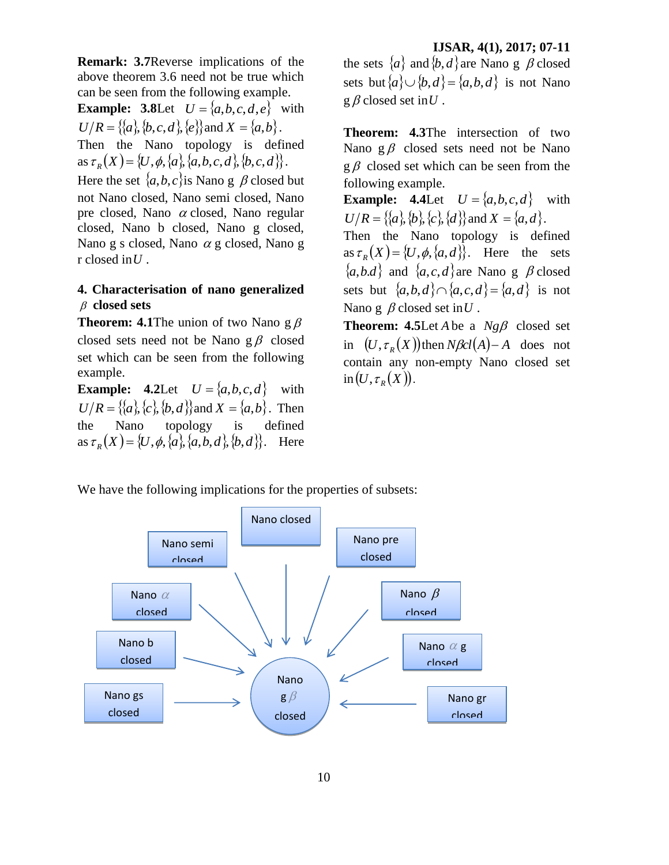**Remark: 3.7**Reverse implications of the above theorem 3.6 need not be true which can be seen from the following example.

**Example:** 3.8Let  $U = \{a,b,c,d,e\}$  with  $U/R = \{\{a\}, \{b, c, d\}, \{e\}\}\$ and  $X = \{a, b\}.$ Then the Nano topology is defined  $\{a, b, c, d\}, \{a, b, c, d\}, \{b, c, d\}.$ 

Here the set  $\{a, b, c\}$  is Nano g  $\beta$  closed but not Nano closed, Nano semi closed, Nano pre closed, Nano  $\alpha$  closed, Nano regular closed, Nano b closed, Nano g closed, Nano g s closed, Nano  $\alpha$  g closed, Nano g r closed in *U* .

### **4. Characterisation of nano generalized**   $\beta$  closed sets

**Theorem: 4.1**The union of two Nano  $g \beta$ closed sets need not be Nano  $g \beta$  closed set which can be seen from the following example.

**Example:** 4.2Let  $U = \{a,b,c,d\}$  with  $U/R = \{\{a\}, \{c\}, \{b, d\}\}\$ and  $X = \{a, b\}$ . Then the Nano topology is defined  $\{a s \tau_R(X) = \{U, \phi, \{a\}, \{a, b, d\}, \{b, d\}\}.$  Here

#### **IJSAR, 4(1), 2017; 07-11**

the sets  $\{a\}$  and  $\{b, d\}$  are Nano g  $\beta$  closed sets but  $\{a\} \cup \{b, d\} = \{a, b, d\}$  is not Nano  $g \beta$  closed set in  $U$ .

**Theorem: 4.3**The intersection of two Nano  $g\beta$  closed sets need not be Nano  $g \beta$  closed set which can be seen from the following example.

**Example:** 4.4Let  $U = \{a,b,c,d\}$  with  $U/R = \{\{a\}, \{b\}, \{c\}, \{d\}\}\$ and  $X = \{a, d\}.$ 

Then the Nano topology is defined as  $\tau_R(X) = \{U, \phi, \{a, d\}\}\$ . Here the sets  $\{a,b.d\}$  and  $\{a,c,d\}$  are Nano g  $\beta$  closed sets but  $\{a,b,d\} \cap \{a,c,d\} = \{a,d\}$  is not Nano g  $\beta$  closed set in  $U$ .

**Theorem:** 4.5Let *A* be a  $Ng\beta$  closed set in  $(U, \tau_R(X))$  then  $N\beta cl(A) - A$  does not contain any non-empty Nano closed set  $\text{in}(U, \tau_{R}(X)).$ 

We have the following implications for the properties of subsets: